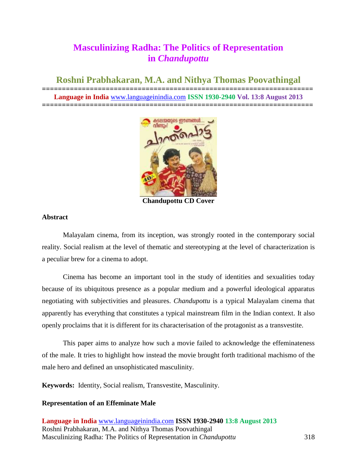# **Masculinizing Radha: The Politics of Representation in** *Chandupottu*

**Roshni Prabhakaran, M.A. and Nithya Thomas Poovathingal**

**==================================================================== Language in India** [www.languageinindia.com](http://www.languageinindia.com/) **ISSN 1930-2940 Vol. 13:8 August 2013 ====================================================================**



**Chandupottu CD Cover**

# **Abstract**

Malayalam cinema, from its inception, was strongly rooted in the contemporary social reality. Social realism at the level of thematic and stereotyping at the level of characterization is a peculiar brew for a cinema to adopt.

Cinema has become an important tool in the study of identities and sexualities today because of its ubiquitous presence as a popular medium and a powerful ideological apparatus negotiating with subjectivities and pleasures. *Chandupottu* is a typical Malayalam cinema that apparently has everything that constitutes a typical mainstream film in the Indian context. It also openly proclaims that it is different for its characterisation of the protagonist as a transvestite.

This paper aims to analyze how such a movie failed to acknowledge the effeminateness of the male. It tries to highlight how instead the movie brought forth traditional machismo of the male hero and defined an unsophisticated masculinity.

**Keywords:** Identity, Social realism, Transvestite, Masculinity.

# **Representation of an Effeminate Male**

**Language in India** [www.languageinindia.com](http://www.languageinindia.com/) **ISSN 1930-2940 13:8 August 2013** Roshni Prabhakaran, M.A. and Nithya Thomas Poovathingal Masculinizing Radha: The Politics of Representation in *Chandupottu* 318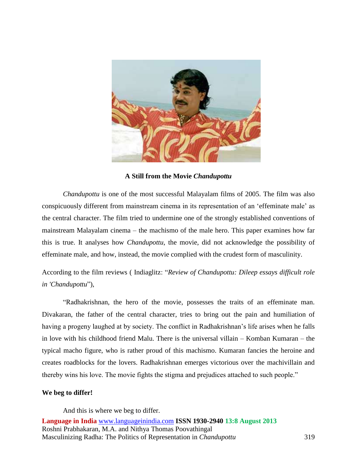

**A Still from the Movie** *Chandupottu*

*Chandupottu* is one of the most successful Malayalam films of 2005. The film was also conspicuously different from mainstream cinema in its representation of an 'effeminate male' as the central character. The film tried to undermine one of the strongly established conventions of mainstream Malayalam cinema – the machismo of the male hero. This paper examines how far this is true. It analyses how *Chandupottu*, the movie, did not acknowledge the possibility of effeminate male, and how, instead, the movie complied with the crudest form of masculinity.

According to the film reviews ( Indiaglitz: "*Review of Chandupottu: Dileep essays difficult role in 'Chandupottu*"),

"Radhakrishnan, the hero of the movie, possesses the traits of an effeminate man. Divakaran, the father of the central character, tries to bring out the pain and humiliation of having a progeny laughed at by society. The conflict in Radhakrishnan's life arises when he falls in love with his childhood friend Malu. There is the universal villain – Komban Kumaran – the typical macho figure, who is rather proud of this machismo. Kumaran fancies the heroine and creates roadblocks for the lovers. Radhakrishnan emerges victorious over the machivillain and thereby wins his love. The movie fights the stigma and prejudices attached to such people."

# **We beg to differ!**

And this is where we beg to differ.

**Language in India** [www.languageinindia.com](http://www.languageinindia.com/) **ISSN 1930-2940 13:8 August 2013** Roshni Prabhakaran, M.A. and Nithya Thomas Poovathingal Masculinizing Radha: The Politics of Representation in *Chandupottu* 319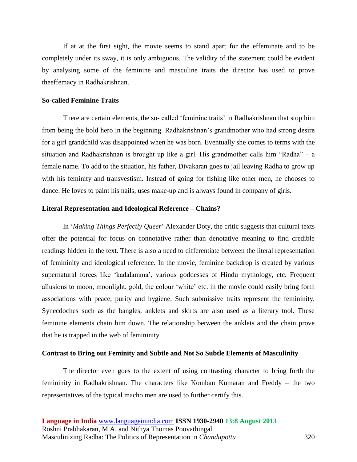If at at the first sight, the movie seems to stand apart for the effeminate and to be completely under its sway, it is only ambiguous. The validity of the statement could be evident by analysing some of the feminine and masculine traits the director has used to prove theeffemacy in Radhakrishnan.

## **So-called Feminine Traits**

There are certain elements, the so- called 'feminine traits' in Radhakrishnan that stop him from being the bold hero in the beginning. Radhakrishnan's grandmother who had strong desire for a girl grandchild was disappointed when he was born. Eventually she comes to terms with the situation and Radhakrishnan is brought up like a girl. His grandmother calls him "Radha" – a female name. To add to the situation, his father, Divakaran goes to jail leaving Radha to grow up with his feminity and transvestism. Instead of going for fishing like other men, he chooses to dance. He loves to paint his nails, uses make-up and is always found in company of girls.

#### **Literal Representation and Ideological Reference – Chains?**

In '*Making Things Perfectly Queer*' Alexander Doty, the critic suggests that cultural texts offer the potential for focus on connotative rather than denotative meaning to find credible readings hidden in the text. There is also a need to differentiate between the literal representation of femininity and ideological reference. In the movie, feminine backdrop is created by various supernatural forces like 'kadalamma', various goddesses of Hindu mythology, etc. Frequent allusions to moon, moonlight, gold, the colour 'white' etc. in the movie could easily bring forth associations with peace, purity and hygiene. Such submissive traits represent the femininity. Synecdoches such as the bangles, anklets and skirts are also used as a literary tool. These feminine elements chain him down. The relationship between the anklets and the chain prove that he is trapped in the web of femininity.

#### **Contrast to Bring out Feminity and Subtle and Not So Subtle Elements of Masculinity**

The director even goes to the extent of using contrasting character to bring forth the femininity in Radhakrishnan. The characters like Komban Kumaran and Freddy – the two representatives of the typical macho men are used to further certify this.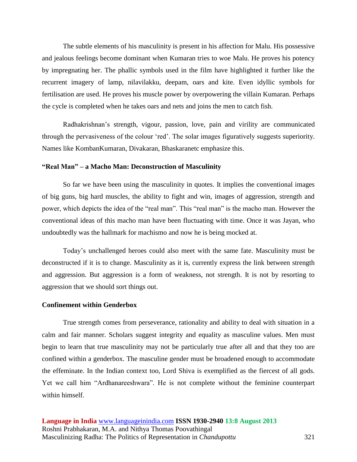The subtle elements of his masculinity is present in his affection for Malu. His possessive and jealous feelings become dominant when Kumaran tries to woe Malu. He proves his potency by impregnating her. The phallic symbols used in the film have highlighted it further like the recurrent imagery of lamp, nilavilakku, deepam, oars and kite. Even idyllic symbols for fertilisation are used. He proves his muscle power by overpowering the villain Kumaran. Perhaps the cycle is completed when he takes oars and nets and joins the men to catch fish.

Radhakrishnan's strength, vigour, passion, love, pain and virility are communicated through the pervasiveness of the colour 'red'. The solar images figuratively suggests superiority. Names like KombanKumaran, Divakaran, Bhaskaranetc emphasize this.

#### **"Real Man" – a Macho Man: Deconstruction of Masculinity**

So far we have been using the masculinity in quotes. It implies the conventional images of big guns, big hard muscles, the ability to fight and win, images of aggression, strength and power, which depicts the idea of the "real man". This "real man" is the macho man. However the conventional ideas of this macho man have been fluctuating with time. Once it was Jayan, who undoubtedly was the hallmark for machismo and now he is being mocked at.

Today's unchallenged heroes could also meet with the same fate. Masculinity must be deconstructed if it is to change. Masculinity as it is, currently express the link between strength and aggression. But aggression is a form of weakness, not strength. It is not by resorting to aggression that we should sort things out.

#### **Confinement within Genderbox**

True strength comes from perseverance, rationality and ability to deal with situation in a calm and fair manner. Scholars suggest integrity and equality as masculine values. Men must begin to learn that true masculinity may not be particularly true after all and that they too are confined within a genderbox. The masculine gender must be broadened enough to accommodate the effeminate. In the Indian context too, Lord Shiva is exemplified as the fiercest of all gods. Yet we call him "Ardhanareeshwara". He is not complete without the feminine counterpart within himself.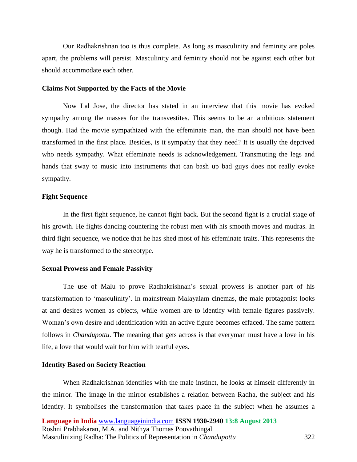Our Radhakrishnan too is thus complete. As long as masculinity and feminity are poles apart, the problems will persist. Masculinity and feminity should not be against each other but should accommodate each other.

#### **Claims Not Supported by the Facts of the Movie**

Now Lal Jose, the director has stated in an interview that this movie has evoked sympathy among the masses for the transvestites. This seems to be an ambitious statement though. Had the movie sympathized with the effeminate man, the man should not have been transformed in the first place. Besides, is it sympathy that they need? It is usually the deprived who needs sympathy. What effeminate needs is acknowledgement. Transmuting the legs and hands that sway to music into instruments that can bash up bad guys does not really evoke sympathy.

## **Fight Sequence**

In the first fight sequence, he cannot fight back. But the second fight is a crucial stage of his growth. He fights dancing countering the robust men with his smooth moves and mudras. In third fight sequence, we notice that he has shed most of his effeminate traits. This represents the way he is transformed to the stereotype.

## **Sexual Prowess and Female Passivity**

The use of Malu to prove Radhakrishnan's sexual prowess is another part of his transformation to 'masculinity'. In mainstream Malayalam cinemas, the male protagonist looks at and desires women as objects, while women are to identify with female figures passively. Woman's own desire and identification with an active figure becomes effaced. The same pattern follows in *Chandupottu*. The meaning that gets across is that everyman must have a love in his life, a love that would wait for him with tearful eyes.

#### **Identity Based on Society Reaction**

When Radhakrishnan identifies with the male instinct, he looks at himself differently in the mirror. The image in the mirror establishes a relation between Radha, the subject and his identity. It symbolises the transformation that takes place in the subject when he assumes a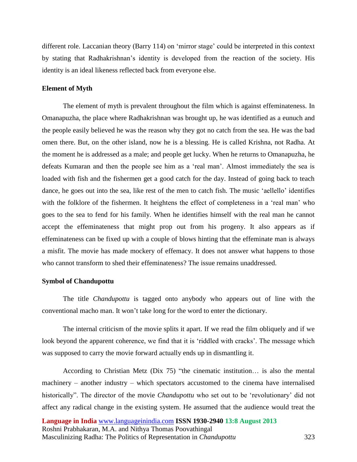different role. Laccanian theory (Barry 114) on 'mirror stage' could be interpreted in this context by stating that Radhakrishnan's identity is developed from the reaction of the society. His identity is an ideal likeness reflected back from everyone else.

## **Element of Myth**

The element of myth is prevalent throughout the film which is against effeminateness. In Omanapuzha, the place where Radhakrishnan was brought up, he was identified as a eunuch and the people easily believed he was the reason why they got no catch from the sea. He was the bad omen there. But, on the other island, now he is a blessing. He is called Krishna, not Radha. At the moment he is addressed as a male; and people get lucky. When he returns to Omanapuzha, he defeats Kumaran and then the people see him as a 'real man'. Almost immediately the sea is loaded with fish and the fishermen get a good catch for the day. Instead of going back to teach dance, he goes out into the sea, like rest of the men to catch fish. The music 'aellello' identifies with the folklore of the fishermen. It heightens the effect of completeness in a 'real man' who goes to the sea to fend for his family. When he identifies himself with the real man he cannot accept the effeminateness that might prop out from his progeny. It also appears as if effeminateness can be fixed up with a couple of blows hinting that the effeminate man is always a misfit. The movie has made mockery of effemacy. It does not answer what happens to those who cannot transform to shed their effeminateness? The issue remains unaddressed.

#### **Symbol of Chandupottu**

The title *Chandupottu* is tagged onto anybody who appears out of line with the conventional macho man. It won't take long for the word to enter the dictionary.

The internal criticism of the movie splits it apart. If we read the film obliquely and if we look beyond the apparent coherence, we find that it is 'riddled with cracks'. The message which was supposed to carry the movie forward actually ends up in dismantling it.

According to Christian Metz (Dix 75) "the cinematic institution… is also the mental machinery – another industry – which spectators accustomed to the cinema have internalised historically". The director of the movie *Chandupottu* who set out to be 'revolutionary' did not affect any radical change in the existing system. He assumed that the audience would treat the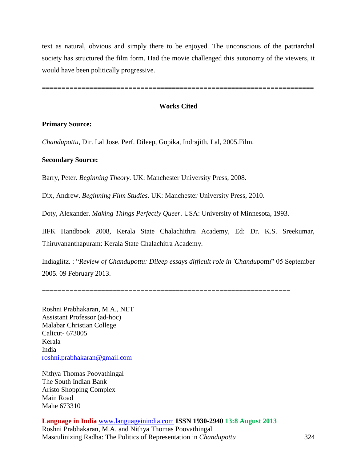text as natural, obvious and simply there to be enjoyed. The unconscious of the patriarchal society has structured the film form. Had the movie challenged this autonomy of the viewers, it would have been politically progressive.

=====================================================================

# **Works Cited**

#### **Primary Source:**

*Chandupottu*, Dir. Lal Jose. Perf. Dileep, Gopika, Indrajith. Lal, 2005.Film.

## **Secondary Source:**

Barry, Peter. *Beginning Theory.* UK: Manchester University Press, 2008.

Dix, Andrew. *Beginning Film Studies.* UK: Manchester University Press, 2010.

Doty, Alexander. *Making Things Perfectly Queer*. USA: University of Minnesota, 1993.

IIFK Handbook 2008, Kerala State Chalachithra Academy, Ed: Dr. K.S. Sreekumar, Thiruvananthapuram: Kerala State Chalachitra Academy.

Indiaglitz. : "*Review of Chandupottu: Dileep essays difficult role in 'Chandupottu*" 05 September 2005. 09 February 2013.

===============================================================

Roshni Prabhakaran, M.A., NET Assistant Professor (ad-hoc) Malabar Christian College Calicut- 673005 Kerala India [roshni.prabhakaran@gmail.com](mailto:roshni.prabhakaran@gmail.com)

Nithya Thomas Poovathingal The South Indian Bank Aristo Shopping Complex Main Road Mahe 673310

**Language in India** [www.languageinindia.com](http://www.languageinindia.com/) **ISSN 1930-2940 13:8 August 2013** Roshni Prabhakaran, M.A. and Nithya Thomas Poovathingal Masculinizing Radha: The Politics of Representation in *Chandupottu* 324